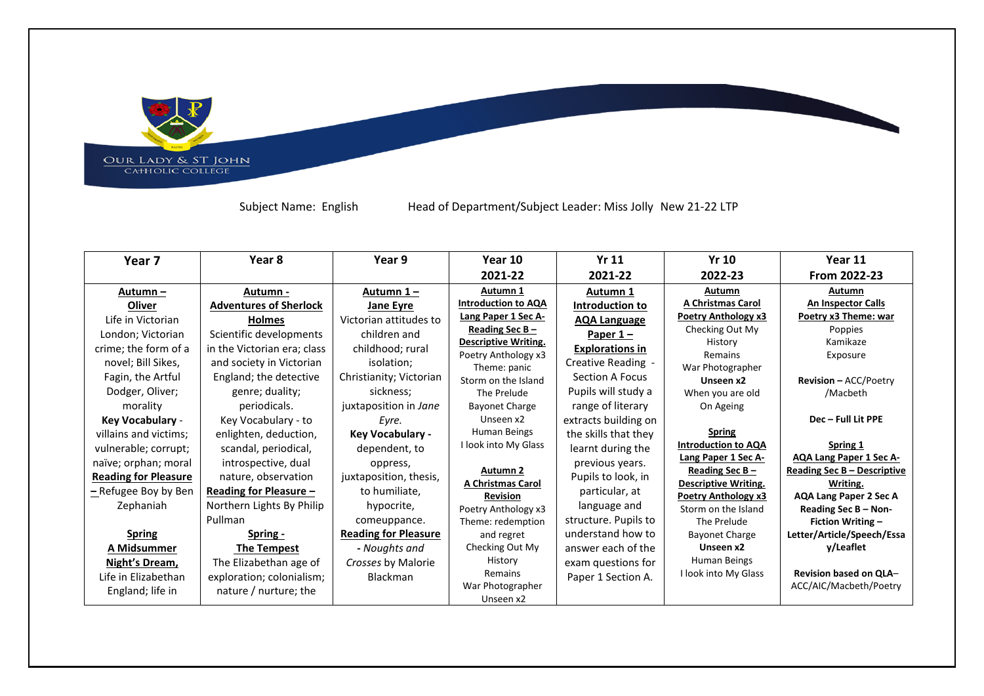OUR LADY & ST JOHN<br>CAHOLIC COLLEGE

Subject Name: English Head of Department/Subject Leader: Miss Jolly New 21-22 LTP

 $\mathbf{L}_{\mathbf{L}}$ 

| Year 7                      | Year 8                        | Year 9                      | Year 10                              | <b>Yr 11</b>           | <b>Yr 10</b>                                   | Year 11                                 |
|-----------------------------|-------------------------------|-----------------------------|--------------------------------------|------------------------|------------------------------------------------|-----------------------------------------|
|                             |                               |                             | 2021-22                              | 2021-22                | 2022-23                                        | From 2022-23                            |
| Autumn –                    | Autumn -                      | Autumn 1-                   | Autumn 1                             | Autumn 1               | Autumn                                         | Autumn                                  |
| Oliver                      | <b>Adventures of Sherlock</b> | <b>Jane Eyre</b>            | Introduction to AQA                  | Introduction to        | <b>A Christmas Carol</b>                       | <b>An Inspector Calls</b>               |
| Life in Victorian           | <b>Holmes</b>                 | Victorian attitudes to      | Lang Paper 1 Sec A-                  | <b>AQA Language</b>    | Poetry Anthology x3                            | Poetry x3 Theme: war                    |
| London; Victorian           | Scientific developments       | children and                | Reading Sec B -                      | Paper $1 -$            | Checking Out My                                | Poppies                                 |
| crime; the form of a        | in the Victorian era; class   | childhood; rural            | <b>Descriptive Writing.</b>          | <b>Explorations in</b> | History<br>Remains                             | Kamikaze                                |
| novel; Bill Sikes,          | and society in Victorian      | isolation:                  | Poetry Anthology x3<br>Theme: panic  | Creative Reading -     | War Photographer                               | Exposure                                |
| Fagin, the Artful           | England; the detective        | Christianity; Victorian     | Storm on the Island                  | Section A Focus        | Unseen x2                                      | <b>Revision - ACC/Poetry</b>            |
| Dodger, Oliver;             | genre; duality;               | sickness;                   | The Prelude                          | Pupils will study a    | When you are old                               | /Macbeth                                |
| morality                    | periodicals.                  | juxtaposition in Jane       | Bayonet Charge                       | range of literary      | On Ageing                                      |                                         |
| Key Vocabulary -            | Key Vocabulary - to           | Eyre.                       | Unseen x2                            | extracts building on   |                                                | Dec - Full Lit PPE                      |
| villains and victims;       | enlighten, deduction,         | Key Vocabulary -            | Human Beings                         | the skills that they   | <b>Spring</b>                                  |                                         |
| vulnerable; corrupt;        | scandal, periodical,          | dependent, to               | I look into My Glass                 | learnt during the      | <b>Introduction to AQA</b>                     | Spring 1                                |
| naïve; orphan; moral        | introspective, dual           | oppress,                    |                                      | previous years.        | Lang Paper 1 Sec A-                            | <b>AQA Lang Paper 1 Sec A-</b>          |
| <b>Reading for Pleasure</b> | nature, observation           | juxtaposition, thesis,      | Autumn 2<br><b>A Christmas Carol</b> | Pupils to look, in     | Reading Sec B -<br><b>Descriptive Writing.</b> | Reading Sec B - Descriptive<br>Writing. |
| -Refugee Boy by Ben         | Reading for Pleasure -        | to humiliate,               | <b>Revision</b>                      | particular, at         | <b>Poetry Anthology x3</b>                     | <b>AQA Lang Paper 2 Sec A</b>           |
| Zephaniah                   | Northern Lights By Philip     | hypocrite,                  | Poetry Anthology x3                  | language and           | Storm on the Island                            | Reading Sec B - Non-                    |
|                             | Pullman                       | comeuppance.                | Theme: redemption                    | structure. Pupils to   | The Prelude                                    | <b>Fiction Writing -</b>                |
| <b>Spring</b>               | Spring -                      | <b>Reading for Pleasure</b> | and regret                           | understand how to      | <b>Bayonet Charge</b>                          | Letter/Article/Speech/Essa              |
| A Midsummer                 | The Tempest                   | - Noughts and               | Checking Out My                      | answer each of the     | Unseen x2                                      | y/Leaflet                               |
| Night's Dream,              | The Elizabethan age of        | Crosses by Malorie          | History                              | exam questions for     | Human Beings                                   |                                         |
| Life in Elizabethan         | exploration; colonialism;     | <b>Blackman</b>             | Remains                              | Paper 1 Section A.     | I look into My Glass                           | Revision based on QLA-                  |
| England; life in            | nature / nurture; the         |                             | War Photographer<br>Unseen x2        |                        |                                                | ACC/AIC/Macbeth/Poetry                  |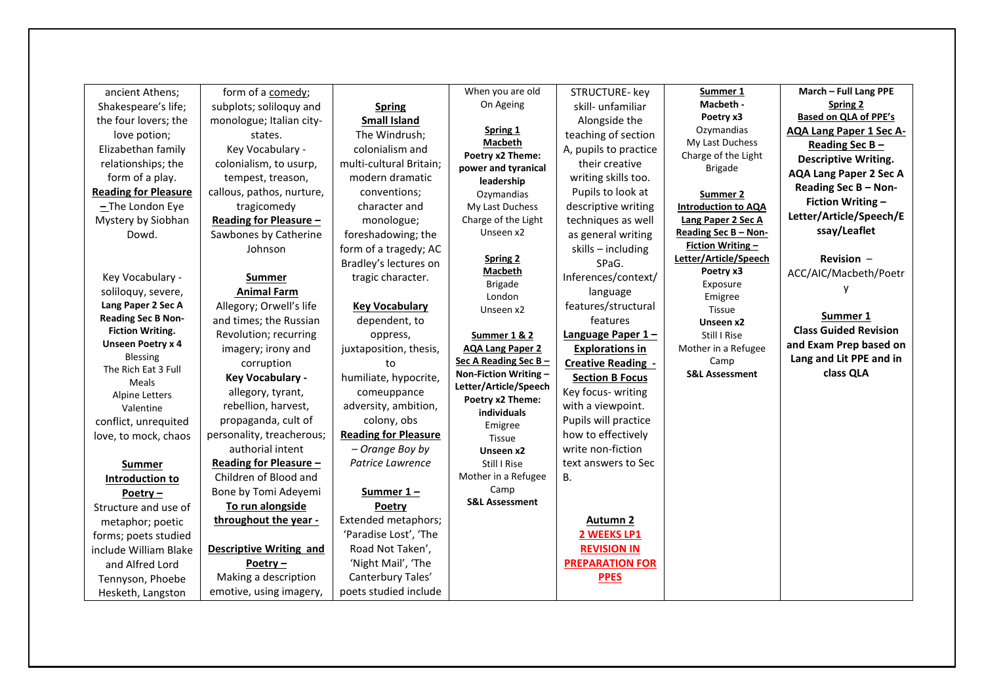| ancient Athens;                      | form of a comedy;              |                             | When you are old                       | STRUCTURE- key            | Summer 1                                 | March - Full Lang PPE          |
|--------------------------------------|--------------------------------|-----------------------------|----------------------------------------|---------------------------|------------------------------------------|--------------------------------|
| Shakespeare's life;                  | subplots; soliloquy and        | <b>Spring</b>               | On Ageing                              | skill- unfamiliar         | Macbeth -                                | Spring 2                       |
| the four lovers; the                 | monologue; Italian city-       | <b>Small Island</b>         |                                        | Alongside the             | Poetry x3                                | <b>Based on QLA of PPE's</b>   |
| love potion;                         | states.                        | The Windrush;               | Spring 1                               | teaching of section       | Ozymandias                               | <b>AQA Lang Paper 1 Sec A-</b> |
| Elizabethan family                   | Key Vocabulary -               | colonialism and             | <b>Macbeth</b>                         | A, pupils to practice     | My Last Duchess                          | Reading Sec $B -$              |
|                                      |                                | multi-cultural Britain;     | Poetry x2 Theme:                       | their creative            | Charge of the Light                      | <b>Descriptive Writing.</b>    |
| relationships; the                   | colonialism, to usurp,         |                             | power and tyranical                    |                           | <b>Brigade</b>                           | <b>AQA Lang Paper 2 Sec A</b>  |
| form of a play.                      | tempest, treason,              | modern dramatic             | leadership                             | writing skills too.       |                                          | Reading Sec B - Non-           |
| <b>Reading for Pleasure</b>          | callous, pathos, nurture,      | conventions;                | Ozymandias                             | Pupils to look at         | Summer 2                                 | <b>Fiction Writing -</b>       |
| $-$ The London Eye                   | tragicomedy                    | character and               | My Last Duchess                        | descriptive writing       | <b>Introduction to AQA</b>               | Letter/Article/Speech/E        |
| Mystery by Siobhan                   | Reading for Pleasure -         | monologue;                  | Charge of the Light<br>Unseen x2       | techniques as well        | Lang Paper 2 Sec A                       | ssay/Leaflet                   |
| Dowd.                                | Sawbones by Catherine          | foreshadowing; the          |                                        | as general writing        | Reading Sec B - Non-<br>Fiction Writing- |                                |
|                                      | Johnson                        | form of a tragedy; AC       | Spring 2                               | skills - including        | Letter/Article/Speech                    | <b>Revision <math>-</math></b> |
|                                      |                                | Bradley's lectures on       | Macbeth                                | SPaG.                     | Poetry x3                                | ACC/AIC/Macbeth/Poetr          |
| Key Vocabulary -                     | <b>Summer</b>                  | tragic character.           | <b>Brigade</b>                         | Inferences/context/       | Exposure                                 |                                |
| soliloquy, severe,                   | <b>Animal Farm</b>             |                             | London                                 | language                  | Emigree                                  |                                |
| Lang Paper 2 Sec A                   | Allegory; Orwell's life        | <b>Key Vocabulary</b>       | Unseen x2                              | features/structural       | <b>Tissue</b>                            |                                |
| <b>Reading Sec B Non-</b>            | and times; the Russian         | dependent, to               |                                        | features                  | Unseen x2                                | Summer 1                       |
| <b>Fiction Writing.</b>              | Revolution; recurring          | oppress,                    | Summer 1 & 2                           | Language Paper 1-         | Still I Rise                             | <b>Class Guided Revision</b>   |
| <b>Unseen Poetry x 4</b><br>Blessing | imagery; irony and             | juxtaposition, thesis,      | <b>AQA Lang Paper 2</b>                | <b>Explorations in</b>    | Mother in a Refugee                      | and Exam Prep based on         |
| The Rich Eat 3 Full                  | corruption                     | to                          | Sec A Reading Sec B-                   | <b>Creative Reading -</b> | Camp                                     | Lang and Lit PPE and in        |
| Meals                                | Key Vocabulary -               | humiliate, hypocrite,       | Non-Fiction Writing -                  | <b>Section B Focus</b>    | <b>S&amp;L Assessment</b>                | class QLA                      |
| <b>Alpine Letters</b>                | allegory, tyrant,              | comeuppance                 | Letter/Article/Speech                  | Key focus- writing        |                                          |                                |
| Valentine                            | rebellion, harvest,            | adversity, ambition,        | Poetry x2 Theme:<br><b>individuals</b> | with a viewpoint.         |                                          |                                |
| conflict, unrequited                 | propaganda, cult of            | colony, obs                 | Emigree                                | Pupils will practice      |                                          |                                |
| love, to mock, chaos                 | personality, treacherous;      | <b>Reading for Pleasure</b> | Tissue                                 | how to effectively        |                                          |                                |
|                                      | authorial intent               | - Orange Boy by             | Unseen x2                              | write non-fiction         |                                          |                                |
| <b>Summer</b>                        | Reading for Pleasure -         | Patrice Lawrence            | Still I Rise                           | text answers to Sec       |                                          |                                |
| Introduction to                      | Children of Blood and          |                             | Mother in a Refugee                    | В.                        |                                          |                                |
| Poetry-                              | Bone by Tomi Adeyemi           | Summer $1 -$                | Camp                                   |                           |                                          |                                |
| Structure and use of                 | To run alongside               | Poetry                      | <b>S&amp;L Assessment</b>              |                           |                                          |                                |
| metaphor; poetic                     | throughout the year -          | Extended metaphors;         |                                        | <b>Autumn 2</b>           |                                          |                                |
| forms; poets studied                 |                                | 'Paradise Lost', 'The       |                                        | 2 WEEKS LP1               |                                          |                                |
| include William Blake                | <b>Descriptive Writing and</b> | Road Not Taken',            |                                        | <b>REVISION IN</b>        |                                          |                                |
| and Alfred Lord                      | Poetry $-$                     | 'Night Mail', 'The          |                                        | <b>PREPARATION FOR</b>    |                                          |                                |
| Tennyson, Phoebe                     | Making a description           | Canterbury Tales'           |                                        | <b>PPES</b>               |                                          |                                |
| Hesketh, Langston                    | emotive, using imagery,        | poets studied include       |                                        |                           |                                          |                                |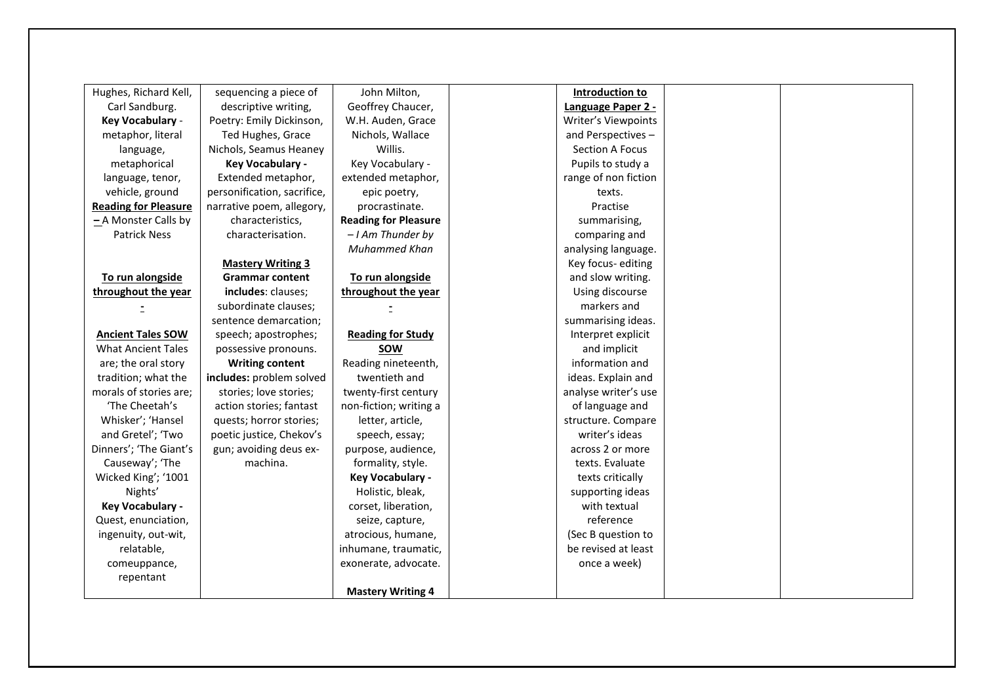| Hughes, Richard Kell,       | sequencing a piece of       | John Milton,                | Introduction to      |  |
|-----------------------------|-----------------------------|-----------------------------|----------------------|--|
| Carl Sandburg.              | descriptive writing,        | Geoffrey Chaucer,           | Language Paper 2 -   |  |
| Key Vocabulary -            | Poetry: Emily Dickinson,    | W.H. Auden, Grace           | Writer's Viewpoints  |  |
| metaphor, literal           | Ted Hughes, Grace           | Nichols, Wallace            | and Perspectives-    |  |
| language,                   | Nichols, Seamus Heaney      | Willis.                     | Section A Focus      |  |
| metaphorical                | <b>Key Vocabulary -</b>     | Key Vocabulary -            | Pupils to study a    |  |
| language, tenor,            | Extended metaphor,          | extended metaphor,          | range of non fiction |  |
| vehicle, ground             | personification, sacrifice, | epic poetry,                | texts.               |  |
| <b>Reading for Pleasure</b> | narrative poem, allegory,   | procrastinate.              | Practise             |  |
| $-A$ Monster Calls by       | characteristics,            | <b>Reading for Pleasure</b> | summarising,         |  |
| <b>Patrick Ness</b>         | characterisation.           | $-1$ Am Thunder by          | comparing and        |  |
|                             |                             | <b>Muhammed Khan</b>        | analysing language.  |  |
|                             | <b>Mastery Writing 3</b>    |                             | Key focus-editing    |  |
| To run alongside            | <b>Grammar content</b>      | To run alongside            | and slow writing.    |  |
| throughout the year         | includes: clauses;          | throughout the year         | Using discourse      |  |
|                             | subordinate clauses;        |                             | markers and          |  |
|                             | sentence demarcation;       |                             | summarising ideas.   |  |
| <b>Ancient Tales SOW</b>    | speech; apostrophes;        | <b>Reading for Study</b>    | Interpret explicit   |  |
| <b>What Ancient Tales</b>   | possessive pronouns.        | <b>SOW</b>                  | and implicit         |  |
| are; the oral story         | <b>Writing content</b>      | Reading nineteenth,         | information and      |  |
| tradition; what the         | includes: problem solved    | twentieth and               | ideas. Explain and   |  |
| morals of stories are;      | stories; love stories;      | twenty-first century        | analyse writer's use |  |
| 'The Cheetah's              | action stories; fantast     | non-fiction; writing a      | of language and      |  |
| Whisker'; 'Hansel           | quests; horror stories;     | letter, article,            | structure. Compare   |  |
| and Gretel'; 'Two           | poetic justice, Chekov's    | speech, essay;              | writer's ideas       |  |
| Dinners'; 'The Giant's      | gun; avoiding deus ex-      | purpose, audience,          | across 2 or more     |  |
| Causeway'; 'The             | machina.                    | formality, style.           | texts. Evaluate      |  |
| Wicked King'; '1001         |                             | Key Vocabulary -            | texts critically     |  |
| Nights'                     |                             | Holistic, bleak,            | supporting ideas     |  |
| Key Vocabulary -            |                             | corset, liberation,         | with textual         |  |
| Quest, enunciation,         |                             | seize, capture,             | reference            |  |
| ingenuity, out-wit,         |                             | atrocious, humane,          | (Sec B question to   |  |
| relatable,                  |                             | inhumane, traumatic,        | be revised at least  |  |
| comeuppance,                |                             | exonerate, advocate.        | once a week)         |  |
| repentant                   |                             |                             |                      |  |
|                             |                             | <b>Mastery Writing 4</b>    |                      |  |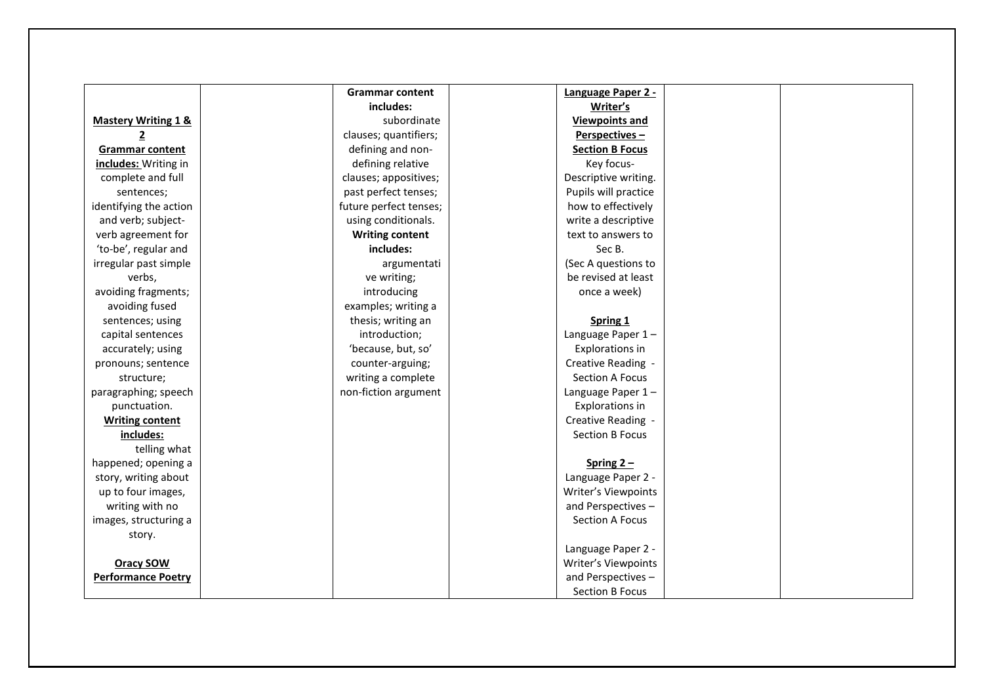|                                | <b>Grammar content</b> | Language Paper 2 -     |  |
|--------------------------------|------------------------|------------------------|--|
|                                | includes:              | Writer's               |  |
| <b>Mastery Writing 1 &amp;</b> | subordinate            | <b>Viewpoints and</b>  |  |
| 2                              | clauses; quantifiers;  | Perspectives-          |  |
| <b>Grammar content</b>         | defining and non-      | <b>Section B Focus</b> |  |
| includes: Writing in           | defining relative      | Key focus-             |  |
| complete and full              | clauses; appositives;  | Descriptive writing.   |  |
| sentences;                     | past perfect tenses;   | Pupils will practice   |  |
| identifying the action         | future perfect tenses; | how to effectively     |  |
| and verb; subject-             | using conditionals.    | write a descriptive    |  |
| verb agreement for             | <b>Writing content</b> | text to answers to     |  |
| 'to-be', regular and           | includes:              | Sec B.                 |  |
| irregular past simple          | argumentati            | (Sec A questions to    |  |
| verbs,                         | ve writing;            | be revised at least    |  |
| avoiding fragments;            | introducing            | once a week)           |  |
| avoiding fused                 | examples; writing a    |                        |  |
| sentences; using               | thesis; writing an     | Spring 1               |  |
| capital sentences              | introduction;          | Language Paper 1-      |  |
| accurately; using              | 'because, but, so'     | <b>Explorations in</b> |  |
| pronouns; sentence             | counter-arguing;       | Creative Reading -     |  |
| structure;                     | writing a complete     | <b>Section A Focus</b> |  |
| paragraphing; speech           | non-fiction argument   | Language Paper 1-      |  |
| punctuation.                   |                        | <b>Explorations in</b> |  |
| <b>Writing content</b>         |                        | Creative Reading -     |  |
| includes:                      |                        | <b>Section B Focus</b> |  |
| telling what                   |                        |                        |  |
| happened; opening a            |                        | Spring $2 -$           |  |
| story, writing about           |                        | Language Paper 2 -     |  |
| up to four images,             |                        | Writer's Viewpoints    |  |
| writing with no                |                        | and Perspectives-      |  |
| images, structuring a          |                        | Section A Focus        |  |
| story.                         |                        |                        |  |
|                                |                        | Language Paper 2 -     |  |
| <b>Oracy SOW</b>               |                        | Writer's Viewpoints    |  |
| <b>Performance Poetry</b>      |                        | and Perspectives-      |  |
|                                |                        | <b>Section B Focus</b> |  |